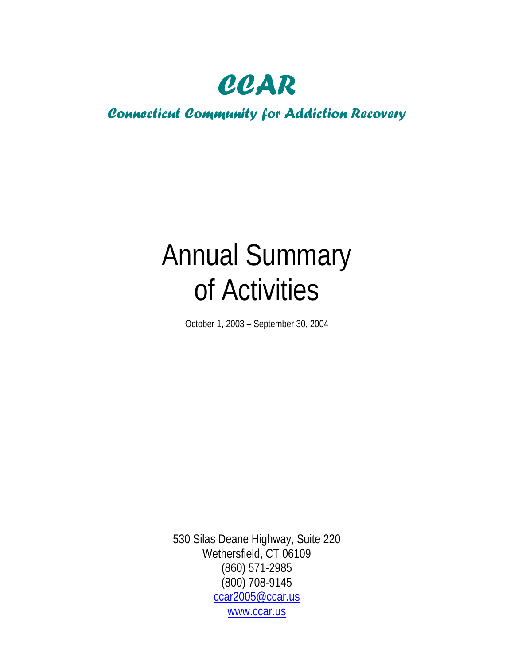*CCAR* 

## *Connecticut Community for Addiction Recovery*

# Annual Summary of Activities

October 1, 2003 – September 30, 2004

530 Silas Deane Highway, Suite 220 Wethersfield, CT 06109 (860) 571-2985 (800) 708-9145 [ccar2005@ccar.us](mailto:ccar2005@ccar.us) [www.ccar.us](http://www.ccar.us/)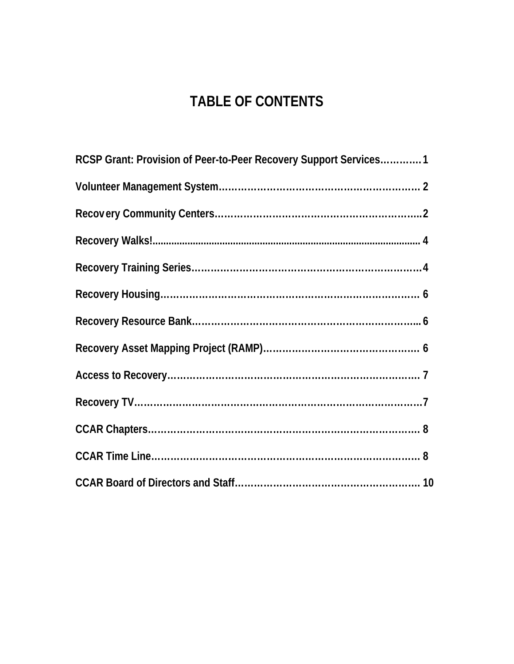## **TABLE OF CONTENTS**

| RCSP Grant: Provision of Peer-to-Peer Recovery Support Services 1 |
|-------------------------------------------------------------------|
|                                                                   |
|                                                                   |
|                                                                   |
|                                                                   |
|                                                                   |
|                                                                   |
|                                                                   |
|                                                                   |
|                                                                   |
|                                                                   |
|                                                                   |
|                                                                   |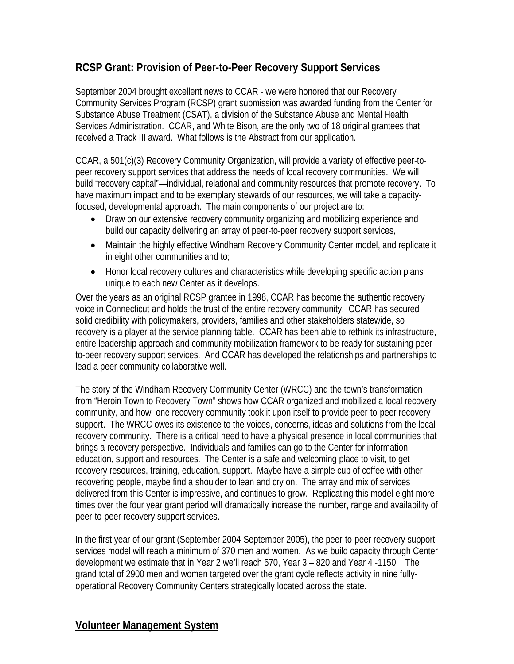## **RCSP Grant: Provision of Peer-to-Peer Recovery Support Services**

September 2004 brought excellent news to CCAR - we were honored that our Recovery Community Services Program (RCSP) grant submission was awarded funding from the Center for Substance Abuse Treatment (CSAT), a division of the Substance Abuse and Mental Health Services Administration. CCAR, and White Bison, are the only two of 18 original grantees that received a Track III award. What follows is the Abstract from our application.

CCAR, a 501(c)(3) Recovery Community Organization, will provide a variety of effective peer-topeer recovery support services that address the needs of local recovery communities. We will build "recovery capital"—individual, relational and community resources that promote recovery. To have maximum impact and to be exemplary stewards of our resources, we will take a capacityfocused, developmental approach. The main components of our project are to:

- Draw on our extensive recovery community organizing and mobilizing experience and build our capacity delivering an array of peer-to-peer recovery support services,
- Maintain the highly effective Windham Recovery Community Center model, and replicate it in eight other communities and to;
- Honor local recovery cultures and characteristics while developing specific action plans unique to each new Center as it develops.

Over the years as an original RCSP grantee in 1998, CCAR has become the authentic recovery voice in Connecticut and holds the trust of the entire recovery community. CCAR has secured solid credibility with policymakers, providers, families and other stakeholders statewide, so recovery is a player at the service planning table. CCAR has been able to rethink its infrastructure, entire leadership approach and community mobilization framework to be ready for sustaining peerto-peer recovery support services. And CCAR has developed the relationships and partnerships to lead a peer community collaborative well.

The story of the Windham Recovery Community Center (WRCC) and the town's transformation from "Heroin Town to Recovery Town" shows how CCAR organized and mobilized a local recovery community, and how one recovery community took it upon itself to provide peer-to-peer recovery support. The WRCC owes its existence to the voices, concerns, ideas and solutions from the local recovery community. There is a critical need to have a physical presence in local communities that brings a recovery perspective. Individuals and families can go to the Center for information, education, support and resources. The Center is a safe and welcoming place to visit, to get recovery resources, training, education, support. Maybe have a simple cup of coffee with other recovering people, maybe find a shoulder to lean and cry on. The array and mix of services delivered from this Center is impressive, and continues to grow. Replicating this model eight more times over the four year grant period will dramatically increase the number, range and availability of peer-to-peer recovery support services.

In the first year of our grant (September 2004-September 2005), the peer-to-peer recovery support services model will reach a minimum of 370 men and women. As we build capacity through Center development we estimate that in Year 2 we'll reach 570, Year 3 – 820 and Year 4 -1150. The grand total of 2900 men and women targeted over the grant cycle reflects activity in nine fullyoperational Recovery Community Centers strategically located across the state.

#### **Volunteer Management System**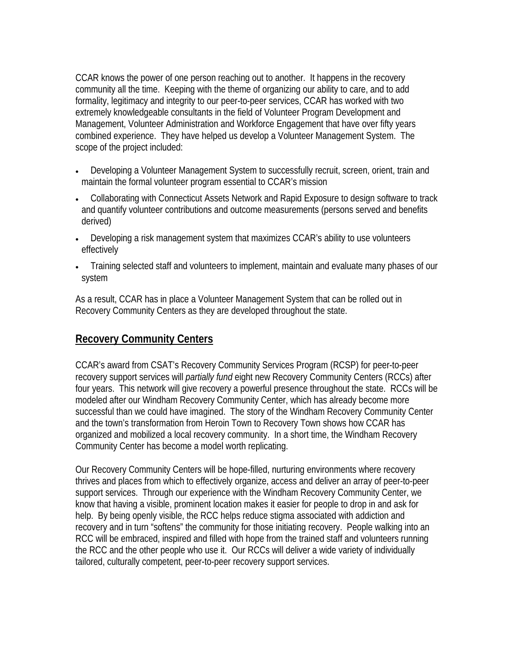CCAR knows the power of one person reaching out to another. It happens in the recovery community all the time. Keeping with the theme of organizing our ability to care, and to add formality, legitimacy and integrity to our peer-to-peer services, CCAR has worked with two extremely knowledgeable consultants in the field of Volunteer Program Development and Management, Volunteer Administration and Workforce Engagement that have over fifty years combined experience. They have helped us develop a Volunteer Management System. The scope of the project included:

- Developing a Volunteer Management System to successfully recruit, screen, orient, train and maintain the formal volunteer program essential to CCAR's mission
- Collaborating with Connecticut Assets Network and Rapid Exposure to design software to track and quantify volunteer contributions and outcome measurements (persons served and benefits derived)
- Developing a risk management system that maximizes CCAR's ability to use volunteers effectively
- Training selected staff and volunteers to implement, maintain and evaluate many phases of our system

As a result, CCAR has in place a Volunteer Management System that can be rolled out in Recovery Community Centers as they are developed throughout the state.

## **Recovery Community Centers**

CCAR's award from CSAT's Recovery Community Services Program (RCSP) for peer-to-peer recovery support services will *partially fund* eight new Recovery Community Centers (RCCs) after four years. This network will give recovery a powerful presence throughout the state. RCCs will be modeled after our Windham Recovery Community Center, which has already become more successful than we could have imagined. The story of the Windham Recovery Community Center and the town's transformation from Heroin Town to Recovery Town shows how CCAR has organized and mobilized a local recovery community. In a short time, the Windham Recovery Community Center has become a model worth replicating.

Our Recovery Community Centers will be hope-filled, nurturing environments where recovery thrives and places from which to effectively organize, access and deliver an array of peer-to-peer support services. Through our experience with the Windham Recovery Community Center, we know that having a visible, prominent location makes it easier for people to drop in and ask for help. By being openly visible, the RCC helps reduce stigma associated with addiction and recovery and in turn "softens" the community for those initiating recovery. People walking into an RCC will be embraced, inspired and filled with hope from the trained staff and volunteers running the RCC and the other people who use it. Our RCCs will deliver a wide variety of individually tailored, culturally competent, peer-to-peer recovery support services.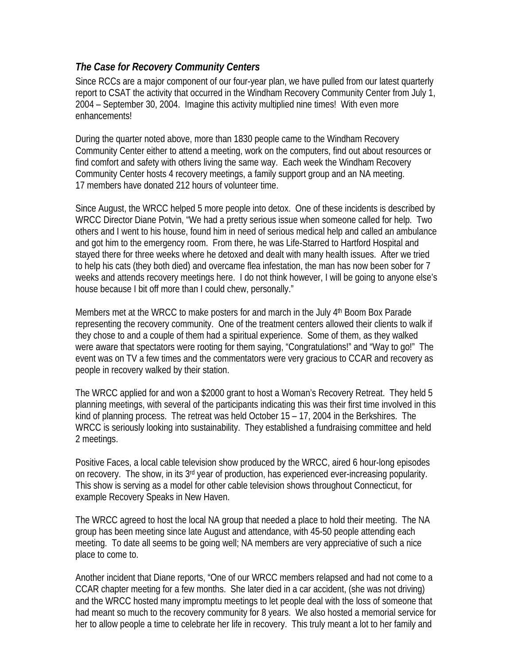#### *The Case for Recovery Community Centers*

Since RCCs are a major component of our four-year plan, we have pulled from our latest quarterly report to CSAT the activity that occurred in the Windham Recovery Community Center from July 1, 2004 – September 30, 2004. Imagine this activity multiplied nine times! With even more enhancements!

During the quarter noted above, more than 1830 people came to the Windham Recovery Community Center either to attend a meeting, work on the computers, find out about resources or find comfort and safety with others living the same way. Each week the Windham Recovery Community Center hosts 4 recovery meetings, a family support group and an NA meeting. 17 members have donated 212 hours of volunteer time.

Since August, the WRCC helped 5 more people into detox. One of these incidents is described by WRCC Director Diane Potvin, "We had a pretty serious issue when someone called for help. Two others and I went to his house, found him in need of serious medical help and called an ambulance and got him to the emergency room. From there, he was Life-Starred to Hartford Hospital and stayed there for three weeks where he detoxed and dealt with many health issues. After we tried to help his cats (they both died) and overcame flea infestation, the man has now been sober for 7 weeks and attends recovery meetings here. I do not think however, I will be going to anyone else's house because I bit off more than I could chew, personally."

Members met at the WRCC to make posters for and march in the July 4th Boom Box Parade representing the recovery community. One of the treatment centers allowed their clients to walk if they chose to and a couple of them had a spiritual experience. Some of them, as they walked were aware that spectators were rooting for them saying, "Congratulations!" and "Way to go!" The event was on TV a few times and the commentators were very gracious to CCAR and recovery as people in recovery walked by their station.

The WRCC applied for and won a \$2000 grant to host a Woman's Recovery Retreat. They held 5 planning meetings, with several of the participants indicating this was their first time involved in this kind of planning process. The retreat was held October 15 – 17, 2004 in the Berkshires. The WRCC is seriously looking into sustainability. They established a fundraising committee and held 2 meetings.

Positive Faces, a local cable television show produced by the WRCC, aired 6 hour-long episodes on recovery. The show, in its 3<sup>rd</sup> year of production, has experienced ever-increasing popularity. This show is serving as a model for other cable television shows throughout Connecticut, for example Recovery Speaks in New Haven.

The WRCC agreed to host the local NA group that needed a place to hold their meeting. The NA group has been meeting since late August and attendance, with 45-50 people attending each meeting. To date all seems to be going well; NA members are very appreciative of such a nice place to come to.

Another incident that Diane reports, "One of our WRCC members relapsed and had not come to a CCAR chapter meeting for a few months. She later died in a car accident, (she was not driving) and the WRCC hosted many impromptu meetings to let people deal with the loss of someone that had meant so much to the recovery community for 8 years. We also hosted a memorial service for her to allow people a time to celebrate her life in recovery. This truly meant a lot to her family and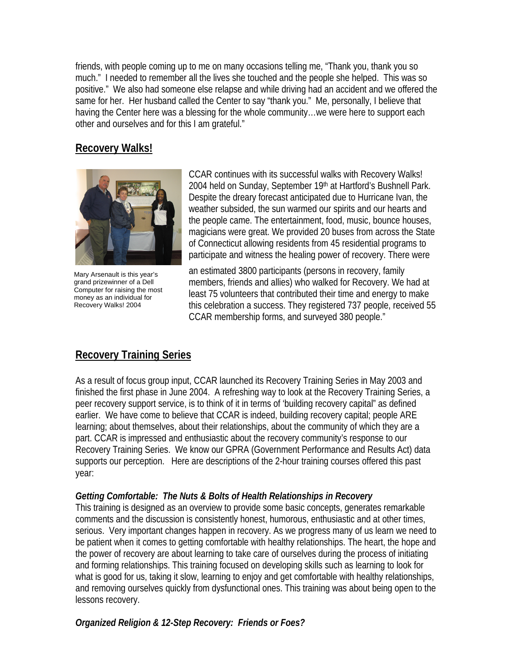friends, with people coming up to me on many occasions telling me, "Thank you, thank you so much." I needed to remember all the lives she touched and the people she helped. This was so positive." We also had someone else relapse and while driving had an accident and we offered the same for her. Her husband called the Center to say "thank you." Me, personally, I believe that having the Center here was a blessing for the whole community…we were here to support each other and ourselves and for this I am grateful."

#### **Recovery Walks!**



Mary Arsenault is this year's grand prizewinner of a Dell Computer for raising the most money as an individual for Recovery Walks! 2004

CCAR continues with its successful walks with Recovery Walks! 2004 held on Sunday, September 19th at Hartford's Bushnell Park. Despite the dreary forecast anticipated due to Hurricane Ivan, the weather subsided, the sun warmed our spirits and our hearts and the people came. The entertainment, food, music, bounce houses, magicians were great. We provided 20 buses from across the State of Connecticut allowing residents from 45 residential programs to participate and witness the healing power of recovery. There were

an estimated 3800 participants (persons in recovery, family members, friends and allies) who walked for Recovery. We had at least 75 volunteers that contributed their time and energy to make this celebration a success. They registered 737 people, received 55 CCAR membership forms, and surveyed 380 people."

## **Recovery Training Series**

As a result of focus group input, CCAR launched its Recovery Training Series in May 2003 and finished the first phase in June 2004. A refreshing way to look at the Recovery Training Series, a peer recovery support service, is to think of it in terms of 'building recovery capital" as defined earlier. We have come to believe that CCAR is indeed, building recovery capital; people ARE learning; about themselves, about their relationships, about the community of which they are a part. CCAR is impressed and enthusiastic about the recovery community's response to our Recovery Training Series. We know our GPRA (Government Performance and Results Act) data supports our perception. Here are descriptions of the 2-hour training courses offered this past year:

#### *Getting Comfortable: The Nuts & Bolts of Health Relationships in Recovery*

This training is designed as an overview to provide some basic concepts, generates remarkable comments and the discussion is consistently honest, humorous, enthusiastic and at other times, serious. Very important changes happen in recovery. As we progress many of us learn we need to be patient when it comes to getting comfortable with healthy relationships. The heart, the hope and the power of recovery are about learning to take care of ourselves during the process of initiating and forming relationships. This training focused on developing skills such as learning to look for what is good for us, taking it slow, learning to enjoy and get comfortable with healthy relationships, and removing ourselves quickly from dysfunctional ones. This training was about being open to the lessons recovery.

#### *Organized Religion & 12-Step Recovery: Friends or Foes?*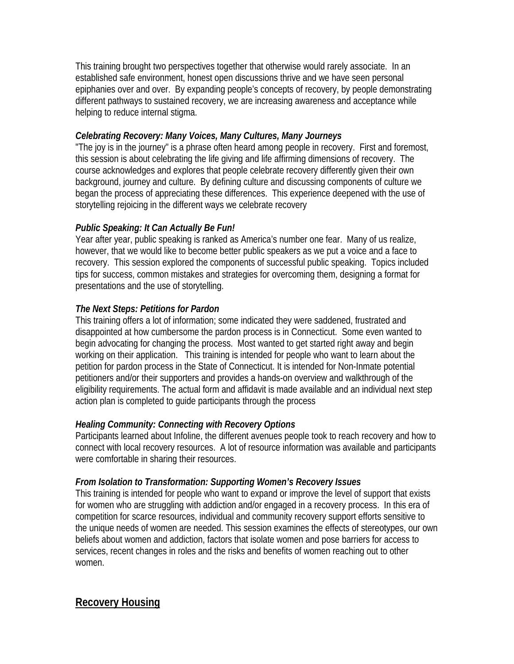This training brought two perspectives together that otherwise would rarely associate. In an established safe environment, honest open discussions thrive and we have seen personal epiphanies over and over. By expanding people's concepts of recovery, by people demonstrating different pathways to sustained recovery, we are increasing awareness and acceptance while helping to reduce internal stigma.

#### *Celebrating Recovery: Many Voices, Many Cultures, Many Journeys*

"The joy is in the journey" is a phrase often heard among people in recovery. First and foremost, this session is about celebrating the life giving and life affirming dimensions of recovery. The course acknowledges and explores that people celebrate recovery differently given their own background, journey and culture. By defining culture and discussing components of culture we began the process of appreciating these differences. This experience deepened with the use of storytelling rejoicing in the different ways we celebrate recovery

#### *Public Speaking: It Can Actually Be Fun!*

Year after year, public speaking is ranked as America's number one fear. Many of us realize, however, that we would like to become better public speakers as we put a voice and a face to recovery. This session explored the components of successful public speaking. Topics included tips for success, common mistakes and strategies for overcoming them, designing a format for presentations and the use of storytelling.

#### *The Next Steps: Petitions for Pardon*

This training offers a lot of information; some indicated they were saddened, frustrated and disappointed at how cumbersome the pardon process is in Connecticut. Some even wanted to begin advocating for changing the process. Most wanted to get started right away and begin working on their application. This training is intended for people who want to learn about the petition for pardon process in the State of Connecticut. It is intended for Non-Inmate potential petitioners and/or their supporters and provides a hands-on overview and walkthrough of the eligibility requirements. The actual form and affidavit is made available and an individual next step action plan is completed to guide participants through the process

#### *Healing Community: Connecting with Recovery Options*

Participants learned about Infoline, the different avenues people took to reach recovery and how to connect with local recovery resources. A lot of resource information was available and participants were comfortable in sharing their resources.

#### *From Isolation to Transformation: Supporting Women's Recovery Issues*

This training is intended for people who want to expand or improve the level of support that exists for women who are struggling with addiction and/or engaged in a recovery process. In this era of competition for scarce resources, individual and community recovery support efforts sensitive to the unique needs of women are needed. This session examines the effects of stereotypes, our own beliefs about women and addiction, factors that isolate women and pose barriers for access to services, recent changes in roles and the risks and benefits of women reaching out to other women.

#### **Recovery Housing**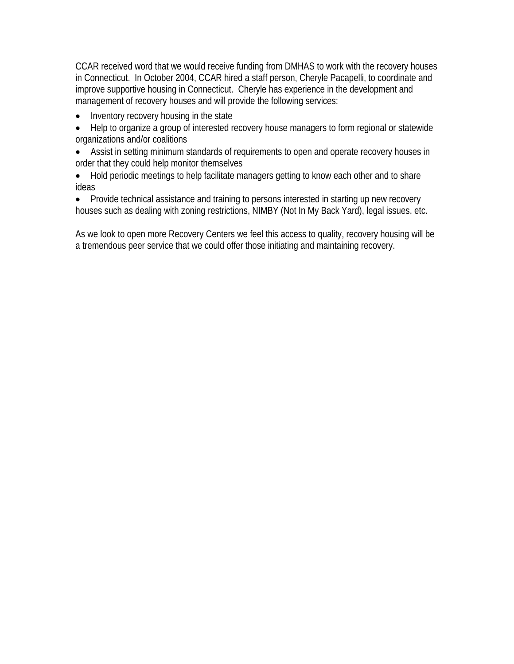CCAR received word that we would receive funding from DMHAS to work with the recovery houses in Connecticut. In October 2004, CCAR hired a staff person, Cheryle Pacapelli, to coordinate and improve supportive housing in Connecticut. Cheryle has experience in the development and management of recovery houses and will provide the following services:

- Inventory recovery housing in the state
- Help to organize a group of interested recovery house managers to form regional or statewide organizations and/or coalitions
- Assist in setting minimum standards of requirements to open and operate recovery houses in order that they could help monitor themselves
- Hold periodic meetings to help facilitate managers getting to know each other and to share ideas
- Provide technical assistance and training to persons interested in starting up new recovery houses such as dealing with zoning restrictions, NIMBY (Not In My Back Yard), legal issues, etc.

As we look to open more Recovery Centers we feel this access to quality, recovery housing will be a tremendous peer service that we could offer those initiating and maintaining recovery.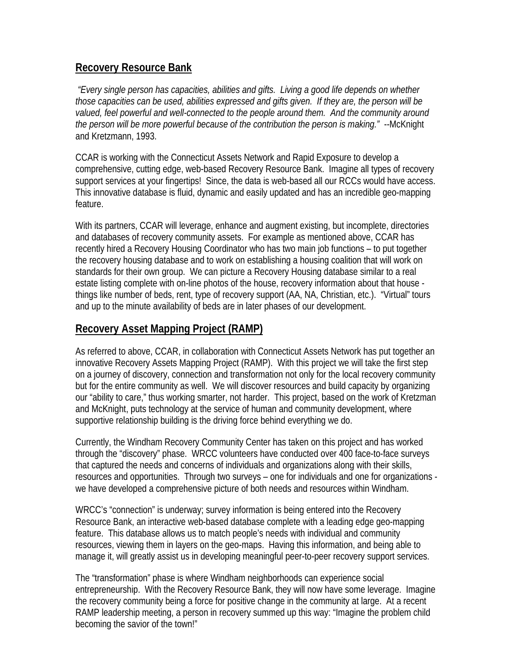#### **Recovery Resource Bank**

 *"Every single person has capacities, abilities and gifts. Living a good life depends on whether those capacities can be used, abilities expressed and gifts given. If they are, the person will be valued, feel powerful and well-connected to the people around them. And the community around the person will be more powerful because of the contribution the person is making."* --McKnight and Kretzmann, 1993.

CCAR is working with the Connecticut Assets Network and Rapid Exposure to develop a comprehensive, cutting edge, web-based Recovery Resource Bank. Imagine all types of recovery support services at your fingertips! Since, the data is web-based all our RCCs would have access. This innovative database is fluid, dynamic and easily updated and has an incredible geo-mapping feature.

With its partners, CCAR will leverage, enhance and augment existing, but incomplete, directories and databases of recovery community assets. For example as mentioned above, CCAR has recently hired a Recovery Housing Coordinator who has two main job functions – to put together the recovery housing database and to work on establishing a housing coalition that will work on standards for their own group. We can picture a Recovery Housing database similar to a real estate listing complete with on-line photos of the house, recovery information about that house things like number of beds, rent, type of recovery support (AA, NA, Christian, etc.). "Virtual" tours and up to the minute availability of beds are in later phases of our development.

## **Recovery Asset Mapping Project (RAMP)**

As referred to above, CCAR, in collaboration with Connecticut Assets Network has put together an innovative Recovery Assets Mapping Project (RAMP). With this project we will take the first step on a journey of discovery, connection and transformation not only for the local recovery community but for the entire community as well. We will discover resources and build capacity by organizing our "ability to care," thus working smarter, not harder. This project, based on the work of Kretzman and McKnight, puts technology at the service of human and community development, where supportive relationship building is the driving force behind everything we do.

Currently, the Windham Recovery Community Center has taken on this project and has worked through the "discovery" phase. WRCC volunteers have conducted over 400 face-to-face surveys that captured the needs and concerns of individuals and organizations along with their skills, resources and opportunities. Through two surveys – one for individuals and one for organizations we have developed a comprehensive picture of both needs and resources within Windham.

WRCC's "connection" is underway; survey information is being entered into the Recovery Resource Bank, an interactive web-based database complete with a leading edge geo-mapping feature. This database allows us to match people's needs with individual and community resources, viewing them in layers on the geo-maps. Having this information, and being able to manage it, will greatly assist us in developing meaningful peer-to-peer recovery support services.

The "transformation" phase is where Windham neighborhoods can experience social entrepreneurship. With the Recovery Resource Bank, they will now have some leverage. Imagine the recovery community being a force for positive change in the community at large. At a recent RAMP leadership meeting, a person in recovery summed up this way: "Imagine the problem child becoming the savior of the town!"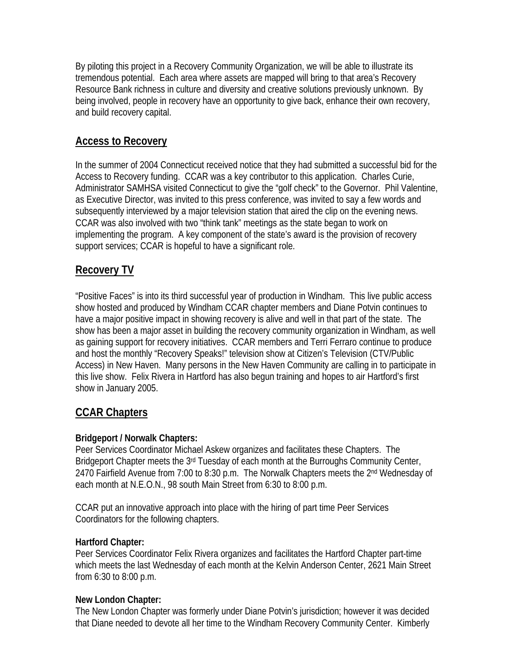By piloting this project in a Recovery Community Organization, we will be able to illustrate its tremendous potential. Each area where assets are mapped will bring to that area's Recovery Resource Bank richness in culture and diversity and creative solutions previously unknown. By being involved, people in recovery have an opportunity to give back, enhance their own recovery, and build recovery capital.

## **Access to Recovery**

In the summer of 2004 Connecticut received notice that they had submitted a successful bid for the Access to Recovery funding. CCAR was a key contributor to this application. Charles Curie, Administrator SAMHSA visited Connecticut to give the "golf check" to the Governor. Phil Valentine, as Executive Director, was invited to this press conference, was invited to say a few words and subsequently interviewed by a major television station that aired the clip on the evening news. CCAR was also involved with two "think tank" meetings as the state began to work on implementing the program. A key component of the state's award is the provision of recovery support services; CCAR is hopeful to have a significant role.

#### **Recovery TV**

"Positive Faces" is into its third successful year of production in Windham. This live public access show hosted and produced by Windham CCAR chapter members and Diane Potvin continues to have a major positive impact in showing recovery is alive and well in that part of the state. The show has been a major asset in building the recovery community organization in Windham, as well as gaining support for recovery initiatives. CCAR members and Terri Ferraro continue to produce and host the monthly "Recovery Speaks!" television show at Citizen's Television (CTV/Public Access) in New Haven. Many persons in the New Haven Community are calling in to participate in this live show. Felix Rivera in Hartford has also begun training and hopes to air Hartford's first show in January 2005.

## **CCAR Chapters**

#### **Bridgeport / Norwalk Chapters:**

Peer Services Coordinator Michael Askew organizes and facilitates these Chapters. The Bridgeport Chapter meets the 3<sup>rd</sup> Tuesday of each month at the Burroughs Community Center, 2470 Fairfield Avenue from 7:00 to 8:30 p.m. The Norwalk Chapters meets the 2<sup>nd</sup> Wednesday of each month at N.E.O.N., 98 south Main Street from 6:30 to 8:00 p.m.

CCAR put an innovative approach into place with the hiring of part time Peer Services Coordinators for the following chapters.

#### **Hartford Chapter:**

Peer Services Coordinator Felix Rivera organizes and facilitates the Hartford Chapter part-time which meets the last Wednesday of each month at the Kelvin Anderson Center, 2621 Main Street from 6:30 to 8:00 p.m.

#### **New London Chapter:**

The New London Chapter was formerly under Diane Potvin's jurisdiction; however it was decided that Diane needed to devote all her time to the Windham Recovery Community Center. Kimberly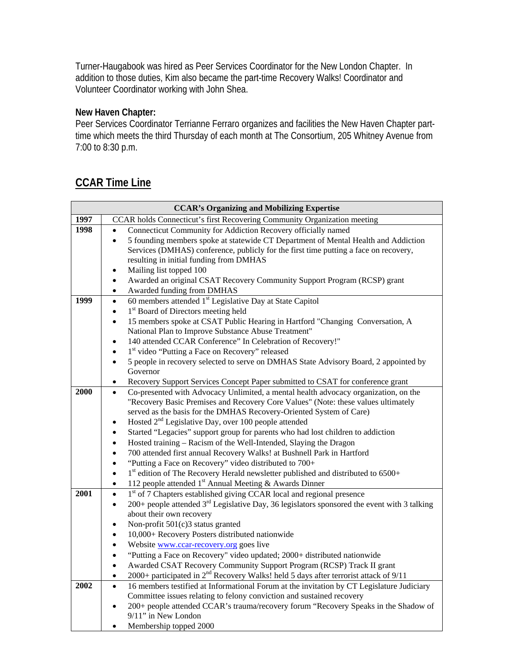Turner-Haugabook was hired as Peer Services Coordinator for the New London Chapter. In addition to those duties, Kim also became the part-time Recovery Walks! Coordinator and Volunteer Coordinator working with John Shea.

#### **New Haven Chapter:**

Peer Services Coordinator Terrianne Ferraro organizes and facilities the New Haven Chapter parttime which meets the third Thursday of each month at The Consortium, 205 Whitney Avenue from 7:00 to 8:30 p.m.

## **CCAR Time Line**

| <b>CCAR's Organizing and Mobilizing Expertise</b> |                                                                                                                      |  |  |
|---------------------------------------------------|----------------------------------------------------------------------------------------------------------------------|--|--|
| 1997                                              | CCAR holds Connecticut's first Recovering Community Organization meeting                                             |  |  |
| 1998                                              | Connecticut Community for Addiction Recovery officially named                                                        |  |  |
|                                                   | 5 founding members spoke at statewide CT Department of Mental Health and Addiction<br>$\bullet$                      |  |  |
|                                                   | Services (DMHAS) conference, publicly for the first time putting a face on recovery,                                 |  |  |
|                                                   | resulting in initial funding from DMHAS                                                                              |  |  |
|                                                   | Mailing list topped 100<br>$\bullet$                                                                                 |  |  |
|                                                   | Awarded an original CSAT Recovery Community Support Program (RCSP) grant<br>$\bullet$                                |  |  |
|                                                   | Awarded funding from DMHAS<br>$\bullet$                                                                              |  |  |
| 1999                                              | 60 members attended 1 <sup>st</sup> Legislative Day at State Capitol<br>$\bullet$                                    |  |  |
|                                                   | 1 <sup>st</sup> Board of Directors meeting held<br>$\bullet$                                                         |  |  |
|                                                   | 15 members spoke at CSAT Public Hearing in Hartford "Changing Conversation, A<br>$\bullet$                           |  |  |
|                                                   | National Plan to Improve Substance Abuse Treatment"                                                                  |  |  |
|                                                   | 140 attended CCAR Conference" In Celebration of Recovery!"<br>$\bullet$                                              |  |  |
|                                                   | 1 <sup>st</sup> video "Putting a Face on Recovery" released<br>$\bullet$                                             |  |  |
|                                                   | 5 people in recovery selected to serve on DMHAS State Advisory Board, 2 appointed by<br>$\bullet$                    |  |  |
|                                                   | Governor                                                                                                             |  |  |
|                                                   | Recovery Support Services Concept Paper submitted to CSAT for conference grant<br>$\bullet$                          |  |  |
| 2000                                              | Co-presented with Advocacy Unlimited, a mental health advocacy organization, on the<br>$\bullet$                     |  |  |
|                                                   | "Recovery Basic Premises and Recovery Core Values" (Note: these values ultimately                                    |  |  |
|                                                   | served as the basis for the DMHAS Recovery-Oriented System of Care)                                                  |  |  |
|                                                   | Hosted 2 <sup>nd</sup> Legislative Day, over 100 people attended<br>$\bullet$                                        |  |  |
|                                                   | Started "Legacies" support group for parents who had lost children to addiction<br>$\bullet$                         |  |  |
|                                                   | Hosted training - Racism of the Well-Intended, Slaying the Dragon<br>$\bullet$                                       |  |  |
|                                                   | 700 attended first annual Recovery Walks! at Bushnell Park in Hartford<br>$\bullet$                                  |  |  |
|                                                   | "Putting a Face on Recovery" video distributed to 700+<br>$\bullet$                                                  |  |  |
|                                                   | 1 <sup>st</sup> edition of The Recovery Herald newsletter published and distributed to 6500+<br>$\bullet$            |  |  |
|                                                   | 112 people attended 1 <sup>st</sup> Annual Meeting & Awards Dinner<br>٠                                              |  |  |
| 2001                                              | 1 <sup>st</sup> of 7 Chapters established giving CCAR local and regional presence<br>$\bullet$                       |  |  |
|                                                   | 200+ people attended 3 <sup>rd</sup> Legislative Day, 36 legislators sponsored the event with 3 talking<br>$\bullet$ |  |  |
|                                                   | about their own recovery                                                                                             |  |  |
|                                                   | Non-profit 501(c)3 status granted<br>$\bullet$                                                                       |  |  |
|                                                   | 10,000+ Recovery Posters distributed nationwide<br>$\bullet$                                                         |  |  |
|                                                   | Website www.ccar-recovery.org goes live<br>$\bullet$                                                                 |  |  |
|                                                   | "Putting a Face on Recovery" video updated; 2000+ distributed nationwide<br>$\bullet$                                |  |  |
|                                                   | Awarded CSAT Recovery Community Support Program (RCSP) Track II grant<br>$\bullet$                                   |  |  |
|                                                   | 2000+ participated in $2^{nd}$ Recovery Walks! held 5 days after terrorist attack of $9/11$<br>$\bullet$             |  |  |
| 2002                                              | 16 members testified at Informational Forum at the invitation by CT Legislature Judiciary<br>$\bullet$               |  |  |
|                                                   | Committee issues relating to felony conviction and sustained recovery                                                |  |  |
|                                                   | 200+ people attended CCAR's trauma/recovery forum "Recovery Speaks in the Shadow of<br>$\bullet$                     |  |  |
|                                                   | 9/11" in New London                                                                                                  |  |  |
|                                                   | Membership topped 2000                                                                                               |  |  |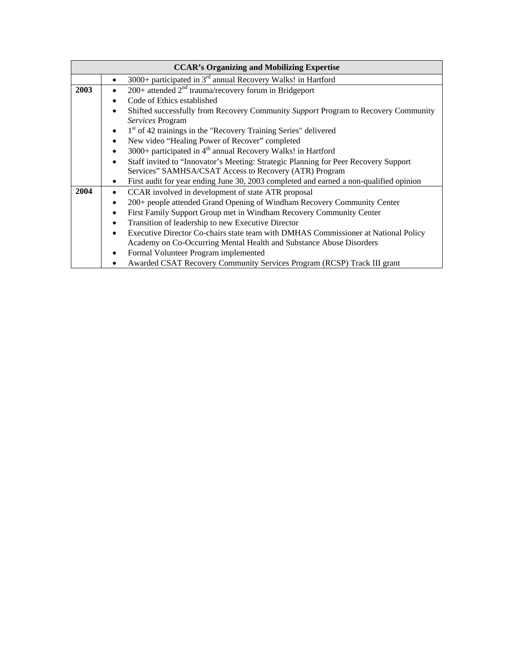| <b>CCAR's Organizing and Mobilizing Expertise</b> |                                                                                                     |  |  |  |
|---------------------------------------------------|-----------------------------------------------------------------------------------------------------|--|--|--|
|                                                   | $3000+$ participated in $3rd$ annual Recovery Walks! in Hartford<br>$\bullet$                       |  |  |  |
| 2003                                              | $200+$ attended $2nd$ trauma/recovery forum in Bridgeport                                           |  |  |  |
|                                                   | Code of Ethics established                                                                          |  |  |  |
|                                                   | Shifted successfully from Recovery Community Support Program to Recovery Community                  |  |  |  |
|                                                   | Services Program                                                                                    |  |  |  |
|                                                   | 1 <sup>st</sup> of 42 trainings in the "Recovery Training Series" delivered                         |  |  |  |
|                                                   | New video "Healing Power of Recover" completed<br>$\bullet$                                         |  |  |  |
|                                                   | 3000+ participated in 4 <sup>th</sup> annual Recovery Walks! in Hartford<br>$\bullet$               |  |  |  |
|                                                   | Staff invited to "Innovator's Meeting: Strategic Planning for Peer Recovery Support<br>$\bullet$    |  |  |  |
|                                                   | Services" SAMHSA/CSAT Access to Recovery (ATR) Program                                              |  |  |  |
|                                                   | First audit for year ending June 30, 2003 completed and earned a non-qualified opinion<br>$\bullet$ |  |  |  |
| 2004                                              | CCAR involved in development of state ATR proposal                                                  |  |  |  |
|                                                   | 200+ people attended Grand Opening of Windham Recovery Community Center                             |  |  |  |
|                                                   | First Family Support Group met in Windham Recovery Community Center<br>$\bullet$                    |  |  |  |
|                                                   | Transition of leadership to new Executive Director<br>$\bullet$                                     |  |  |  |
|                                                   | Executive Director Co-chairs state team with DMHAS Commissioner at National Policy<br>$\bullet$     |  |  |  |
|                                                   | Academy on Co-Occurring Mental Health and Substance Abuse Disorders                                 |  |  |  |
|                                                   | Formal Volunteer Program implemented                                                                |  |  |  |
|                                                   | Awarded CSAT Recovery Community Services Program (RCSP) Track III grant                             |  |  |  |